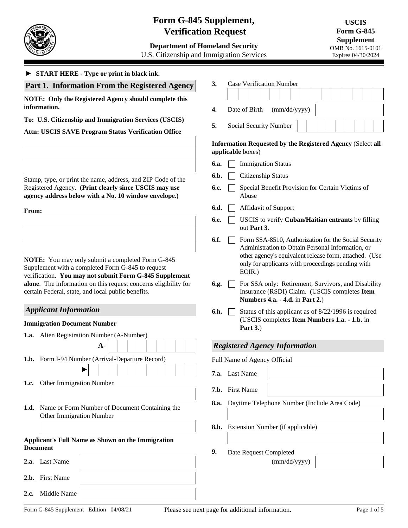

# **Form G-845 Supplement, Verification Request**

**Department of Homeland Security**  U.S. Citizenship and Immigration Services

#### ► **START HERE - Type or print in black ink.**

## **Part 1. Information From the Registered Agency**

**NOTE: Only the Registered Agency should complete this information.**

### **To: U.S. Citizenship and Immigration Services (USCIS)**

**Attn: USCIS SAVE Program Status Verification Office**

Stamp, type, or print the name, address, and ZIP Code of the Registered Agency.(**Print clearly since USCIS may use agency address below with a No. 10 window envelope.)**

**From:**

**NOTE:** You may only submit a completed Form G-845 Supplement with a completed Form G-845 to request verification. **You may not submit Form G-845 Supplement alone**. The information on this request concerns eligibility for certain Federal, state, and local public benefits.

## *Applicant Information*

#### **Immigration Document Number**

|      | <b>1.a.</b> Alien Registration Number (A-Number)                                              |  |  |  |  |  |
|------|-----------------------------------------------------------------------------------------------|--|--|--|--|--|
|      | A-                                                                                            |  |  |  |  |  |
| 1.b. | Form I-94 Number (Arrival-Departure Record)<br>$F_1$<br>7.                                    |  |  |  |  |  |
| 1.c. | Other Immigration Number<br>7.                                                                |  |  |  |  |  |
| 1.d. | 8.<br>Name or Form Number of Document Containing the<br><b>Other Immigration Number</b><br>8. |  |  |  |  |  |
|      | <b>Applicant's Full Name as Shown on the Immigration</b><br><b>Document</b><br>9.             |  |  |  |  |  |
|      | 2.a. Last Name                                                                                |  |  |  |  |  |
|      | 2.b. First Name                                                                               |  |  |  |  |  |

| 3. | <b>Case Verification Number</b> |                            |  |  |  |
|----|---------------------------------|----------------------------|--|--|--|
|    |                                 |                            |  |  |  |
| 4. |                                 | Date of Birth (mm/dd/yyyy) |  |  |  |

**5.** Social Security Number

## **Information Requested by the Registered Agency** (Select **all applicable** boxes)

- **6.a.** Immigration Status
- **6.b.** Citizenship Status
- **6.c.** Special Benefit Provision for Certain Victims of Abuse
- **6.d. Affidavit of Support**
- **6.e.** USCIS to verify **Cuban/Haitian entrants** by filling out **Part 3**.
- **6.f.**  $\Box$  Form SSA-8510, Authorization for the Social Security Administration to Obtain Personal Information, or other agency's equivalent release form, attached. (Use only for applicants with proceedings pending with EOIR.)
- **6.g.** For SSA only: Retirement, Survivors, and Disability Insurance (RSDI) Claim. (USCIS completes **Item Numbers 4.a. - 4.d.** in **Part 2.**)
- **6.h.**  $\Box$  Status of this applicant as of  $8/22/1996$  is required (USCIS completes **Item Numbers 1.a. - 1.b.** in **Part 3.**)

## *Registered Agency Information*

- ull Name of Agency Official
- **7.a.** Last Name
- **7.b.** First Name
- **8.a.** Daytime Telephone Number (Include Area Code)
- **b.** Extension Number (if applicable)
- **9.** Date Request Completed

(mm/dd/yyyy)

**2.c.** Middle Name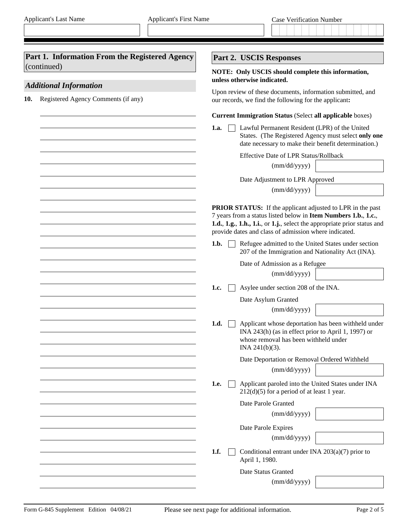| Part 1. Information From the Registered Agency<br>(continued) | Part 2. USCIS Responses                                                                                                                                                                                                                                                                                                                                                                      |
|---------------------------------------------------------------|----------------------------------------------------------------------------------------------------------------------------------------------------------------------------------------------------------------------------------------------------------------------------------------------------------------------------------------------------------------------------------------------|
| <b>Additional Information</b>                                 | NOTE: Only USCIS should complete this information,<br>unless otherwise indicated.                                                                                                                                                                                                                                                                                                            |
| Registered Agency Comments (if any)<br>10.                    | Upon review of these documents, information submitted, and<br>our records, we find the following for the applicant:                                                                                                                                                                                                                                                                          |
|                                                               | <b>Current Immigration Status (Select all applicable boxes)</b>                                                                                                                                                                                                                                                                                                                              |
|                                                               | Lawful Permanent Resident (LPR) of the United<br>1.a.<br>States. (The Registered Agency must select only one<br>date necessary to make their benefit determination.)                                                                                                                                                                                                                         |
|                                                               | <b>Effective Date of LPR Status/Rollback</b>                                                                                                                                                                                                                                                                                                                                                 |
|                                                               | (mm/dd/yyyy)                                                                                                                                                                                                                                                                                                                                                                                 |
|                                                               | Date Adjustment to LPR Approved                                                                                                                                                                                                                                                                                                                                                              |
|                                                               | (mm/dd/yyyy)                                                                                                                                                                                                                                                                                                                                                                                 |
|                                                               | <b>PRIOR STATUS:</b> If the applicant adjusted to LPR in the past<br>7 years from a status listed below in Item Numbers 1.b., 1.c.,<br>1.d., 1.g., 1.h., 1.i., or 1.j., select the appropriate prior status and<br>provide dates and class of admission where indicated.<br>Refugee admitted to the United States under section<br>1.b.<br>207 of the Immigration and Nationality Act (INA). |
|                                                               | Date of Admission as a Refugee                                                                                                                                                                                                                                                                                                                                                               |
|                                                               | (mm/dd/yyyy)                                                                                                                                                                                                                                                                                                                                                                                 |
|                                                               | Asylee under section 208 of the INA.<br>1.c.                                                                                                                                                                                                                                                                                                                                                 |
|                                                               | Date Asylum Granted                                                                                                                                                                                                                                                                                                                                                                          |
|                                                               | (mm/dd/yyyy)                                                                                                                                                                                                                                                                                                                                                                                 |
|                                                               | Applicant whose deportation has been withheld under<br>1.d.<br>INA 243(h) (as in effect prior to April 1, 1997) or<br>whose removal has been withheld under<br>INA 241(b)(3).                                                                                                                                                                                                                |
|                                                               | Date Deportation or Removal Ordered Withheld                                                                                                                                                                                                                                                                                                                                                 |
|                                                               | (mm/dd/yyyy)                                                                                                                                                                                                                                                                                                                                                                                 |
|                                                               | Applicant paroled into the United States under INA<br>1.e.<br>$212(d)(5)$ for a period of at least 1 year.                                                                                                                                                                                                                                                                                   |
|                                                               | Date Parole Granted                                                                                                                                                                                                                                                                                                                                                                          |
|                                                               | (mm/dd/yyyy)                                                                                                                                                                                                                                                                                                                                                                                 |
|                                                               | Date Parole Expires                                                                                                                                                                                                                                                                                                                                                                          |
|                                                               | (mm/dd/yyyy)                                                                                                                                                                                                                                                                                                                                                                                 |
|                                                               | 1.f.<br>Conditional entrant under INA $203(a)(7)$ prior to<br>April 1, 1980.                                                                                                                                                                                                                                                                                                                 |
|                                                               | Date Status Granted                                                                                                                                                                                                                                                                                                                                                                          |
|                                                               | (mm/dd/yyyy)                                                                                                                                                                                                                                                                                                                                                                                 |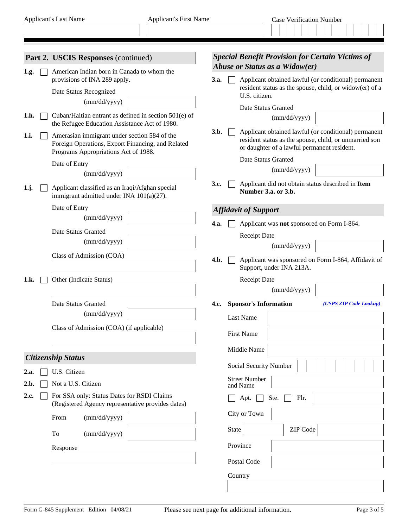|      | <b>Part 2. USCIS Responses (continued)</b>                                                                                                |             | <b>Special Benefit Provision for Certain Victims of</b>                                                                                                       |
|------|-------------------------------------------------------------------------------------------------------------------------------------------|-------------|---------------------------------------------------------------------------------------------------------------------------------------------------------------|
| 1.g. | American Indian born in Canada to whom the                                                                                                |             | Abuse or Status as a Widow(er)                                                                                                                                |
|      | provisions of INA 289 apply.                                                                                                              | 3.a.        | Applicant obtained lawful (or conditional) permanent<br>resident status as the spouse, child, or widow(er) of a                                               |
|      | Date Status Recognized<br>(mm/dd/yyyy)                                                                                                    |             | U.S. citizen.                                                                                                                                                 |
| 1.h. | Cuban/Haitian entrant as defined in section 501(e) of                                                                                     |             | Date Status Granted                                                                                                                                           |
|      | the Refugee Education Assistance Act of 1980.                                                                                             |             | (mm/dd/yyyy)                                                                                                                                                  |
| 1.i. | Amerasian immigrant under section 584 of the<br>Foreign Operations, Export Financing, and Related<br>Programs Appropriations Act of 1988. | 3.b.        | Applicant obtained lawful (or conditional) permanent<br>resident status as the spouse, child, or unmarried son<br>or daughter of a lawful permanent resident. |
|      | Date of Entry                                                                                                                             |             | Date Status Granted                                                                                                                                           |
|      | (mm/dd/yyyy)                                                                                                                              |             | (mm/dd/yyyy)                                                                                                                                                  |
| 1,j. | Applicant classified as an Iraqi/Afghan special<br>immigrant admitted under INA 101(a)(27).                                               | 3.c.        | Applicant did not obtain status described in Item<br>Number 3.a. or 3.b.                                                                                      |
|      | Date of Entry                                                                                                                             |             | <b>Affidavit of Support</b>                                                                                                                                   |
|      | (mm/dd/yyyy)                                                                                                                              | <b>4.a.</b> | Applicant was not sponsored on Form I-864.                                                                                                                    |
|      | Date Status Granted                                                                                                                       |             | <b>Receipt Date</b>                                                                                                                                           |
|      | (mm/dd/yyyy)                                                                                                                              |             | (mm/dd/yyyy)                                                                                                                                                  |
|      | Class of Admission (COA)                                                                                                                  | 4.b.        | Applicant was sponsored on Form I-864, Affidavit of<br>Support, under INA 213A.                                                                               |
| 1.k. | Other (Indicate Status)                                                                                                                   |             | <b>Receipt Date</b>                                                                                                                                           |
|      |                                                                                                                                           |             | (mm/dd/yyyy)                                                                                                                                                  |
|      | Date Status Granted                                                                                                                       | 4.c.        | <b>Sponsor's Information</b><br>(USPS ZIP Code Lookup)                                                                                                        |
|      | (mm/dd/yyyy)                                                                                                                              |             | <b>Last Name</b>                                                                                                                                              |
|      | Class of Admission (COA) (if applicable)                                                                                                  |             | <b>First Name</b>                                                                                                                                             |
|      |                                                                                                                                           |             | Middle Name                                                                                                                                                   |
|      | <b>Citizenship Status</b>                                                                                                                 |             | Social Security Number                                                                                                                                        |
| 2.a. | U.S. Citizen                                                                                                                              |             | <b>Street Number</b>                                                                                                                                          |
| 2.b. | Not a U.S. Citizen                                                                                                                        |             | and Name                                                                                                                                                      |
| 2.c. | For SSA only: Status Dates for RSDI Claims<br>(Registered Agency representative provides dates)                                           |             | Ste.<br>Flr.<br>Apt.                                                                                                                                          |
|      | (mm/dd/yyyy)<br>From                                                                                                                      |             | City or Town                                                                                                                                                  |
|      | To<br>(mm/dd/yyyy)                                                                                                                        |             | ZIP Code<br><b>State</b><br>▼                                                                                                                                 |
|      | Response                                                                                                                                  |             | Province                                                                                                                                                      |
|      |                                                                                                                                           |             | Postal Code                                                                                                                                                   |
|      |                                                                                                                                           |             | Country                                                                                                                                                       |
|      |                                                                                                                                           |             |                                                                                                                                                               |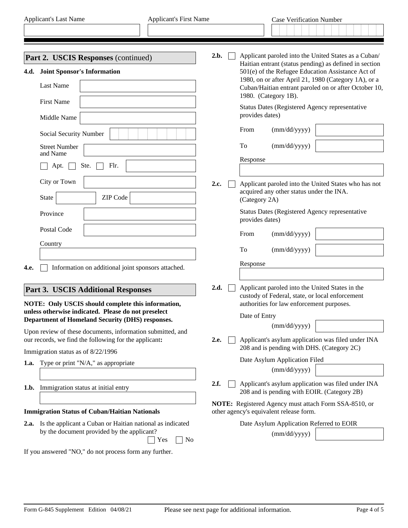|                                                       | <b>Part 2. USCIS Responses (continued)</b>                                                                                | 2.b. |                                                                                                                                                                                                                                                      |                                           | Applicant paroled into the United States as a Cuban/                                              |  |
|-------------------------------------------------------|---------------------------------------------------------------------------------------------------------------------------|------|------------------------------------------------------------------------------------------------------------------------------------------------------------------------------------------------------------------------------------------------------|-------------------------------------------|---------------------------------------------------------------------------------------------------|--|
| 4.d.                                                  | <b>Joint Sponsor's Information</b><br><b>Last Name</b>                                                                    |      | Haitian entrant (status pending) as defined in section<br>501(e) of the Refugee Education Assistance Act of<br>1980, on or after April 21, 1980 (Category 1A), or a<br>Cuban/Haitian entrant paroled on or after October 10,<br>1980. (Category 1B). |                                           |                                                                                                   |  |
|                                                       | <b>First Name</b><br>Middle Name                                                                                          |      | provides dates)                                                                                                                                                                                                                                      |                                           | Status Dates (Registered Agency representative                                                    |  |
|                                                       | Social Security Number                                                                                                    |      | From                                                                                                                                                                                                                                                 | (mm/dd/yyyy)                              |                                                                                                   |  |
|                                                       | <b>Street Number</b><br>and Name                                                                                          |      | To                                                                                                                                                                                                                                                   | (mm/dd/yyyy)                              |                                                                                                   |  |
|                                                       | Ste.<br>Flr.<br>Apt.                                                                                                      | 2.c. | Response                                                                                                                                                                                                                                             |                                           |                                                                                                   |  |
|                                                       | City or Town<br>ZIP Code<br><b>State</b><br>$\blacktriangledown$                                                          |      | (Category 2A)                                                                                                                                                                                                                                        | acquired any other status under the INA.  | Applicant paroled into the United States who has not                                              |  |
|                                                       | Province                                                                                                                  |      | provides dates)                                                                                                                                                                                                                                      |                                           | Status Dates (Registered Agency representative                                                    |  |
|                                                       | Postal Code                                                                                                               |      | From                                                                                                                                                                                                                                                 | (mm/dd/yyyy)                              |                                                                                                   |  |
|                                                       | Country                                                                                                                   |      | To                                                                                                                                                                                                                                                   | (mm/dd/yyyy)                              |                                                                                                   |  |
| 4.e.                                                  | Information on additional joint sponsors attached.                                                                        |      | Response                                                                                                                                                                                                                                             |                                           |                                                                                                   |  |
|                                                       | <b>Part 3. USCIS Additional Responses</b>                                                                                 | 2.d. |                                                                                                                                                                                                                                                      |                                           | Applicant paroled into the United States in the                                                   |  |
|                                                       | NOTE: Only USCIS should complete this information,<br>unless otherwise indicated. Please do not preselect                 |      |                                                                                                                                                                                                                                                      | authorities for law enforcement purposes. | custody of Federal, state, or local enforcement                                                   |  |
|                                                       | Department of Homeland Security (DHS) responses.<br>Upon review of these documents, information submitted, and            |      | Date of Entry                                                                                                                                                                                                                                        | (mm/dd/yyyy)                              |                                                                                                   |  |
| our records, we find the following for the applicant: |                                                                                                                           |      | <b>2.e.</b> Applicant's asylum application was filed under INA<br>208 and is pending with DHS. (Category 2C)                                                                                                                                         |                                           |                                                                                                   |  |
|                                                       | Immigration status as of 8/22/1996<br><b>1.a.</b> Type or print "N/A," as appropriate                                     |      |                                                                                                                                                                                                                                                      | Date Asylum Application Filed             |                                                                                                   |  |
|                                                       |                                                                                                                           |      |                                                                                                                                                                                                                                                      | (mm/dd/yyyy)                              |                                                                                                   |  |
|                                                       | 1.b. Immigration status at initial entry                                                                                  | 2.f. |                                                                                                                                                                                                                                                      |                                           | Applicant's asylum application was filed under INA<br>208 and is pending with EOIR. (Category 2B) |  |
|                                                       | <b>Immigration Status of Cuban/Haitian Nationals</b>                                                                      |      |                                                                                                                                                                                                                                                      | other agency's equivalent release form.   | NOTE: Registered Agency must attach Form SSA-8510, or                                             |  |
|                                                       | 2.a. Is the applicant a Cuban or Haitian national as indicated<br>by the document provided by the applicant?<br>Yes<br>No |      |                                                                                                                                                                                                                                                      | Date Asylum Application Referred to EOIR  |                                                                                                   |  |
|                                                       |                                                                                                                           |      |                                                                                                                                                                                                                                                      | (mm/dd/yyyy)                              |                                                                                                   |  |
|                                                       | If you answered "NO," do not process form any further.                                                                    |      |                                                                                                                                                                                                                                                      |                                           |                                                                                                   |  |